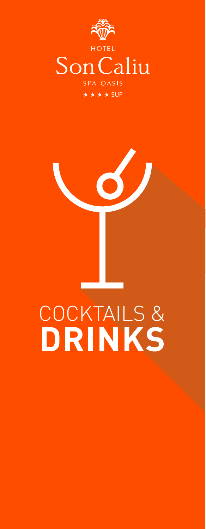

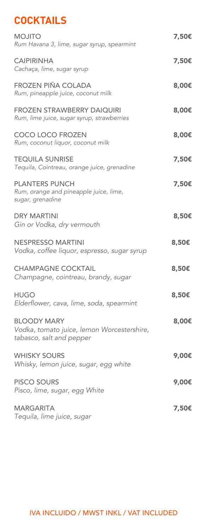## **COCKTAILS**

| <b>MOJITO</b><br>Rum Havana 3, lime, sugar syrup, spearmint                                  | 7,50€ |
|----------------------------------------------------------------------------------------------|-------|
| <b>CAIPIRINHA</b><br>Cachaça, lime, sugar syrup                                              | 7,50€ |
| <b>FROZEN PIÑA COLADA</b><br>Rum, pineapple juice, coconut milk                              | 8,00€ |
| <b>FROZEN STRAWBERRY DAIQUIRI</b><br>Rum, lime juice, sugar syrup, strawberries              | 8,00€ |
| <b>COCO LOCO FROZEN</b><br>Rum, coconut liquor, coconut milk                                 | 8,00€ |
| <b>TEQUILA SUNRISE</b><br>Tequila, Cointreau, orange juice, grenadine                        | 7,50€ |
| <b>PLANTERS PUNCH</b><br>Rum, orange and pineapple juice, lime,<br>sugar, grenadine          | 7,50€ |
| <b>DRY MARTINI</b><br>Gin or Vodka, dry vermouth                                             | 8,50€ |
| <b>NESPRESSO MARTINI</b><br>Vodka, coffee liquor, espresso, sugar syrup                      | 8,50€ |
| <b>CHAMPAGNE COCKTAIL</b><br>Champagne, cointreau, brandy, sugar                             | 8,50€ |
| <b>HUGO</b><br>Elderflower, cava, lime, soda, spearmint                                      | 8,50€ |
| <b>BLOODY MARY</b><br>Vodka, tomato juice, lemon Worcestershire,<br>tabasco, salt and pepper | 8,00€ |
| <b>WHISKY SOURS</b><br>Whisky, lemon juice, sugar, egg white                                 | 9,00€ |
| <b>PISCO SOURS</b><br>Pisco, lime, sugar, egg White                                          | 9,00€ |
| <b>MARGARITA</b><br>Tequila, lime juice, sugar                                               | 7,50€ |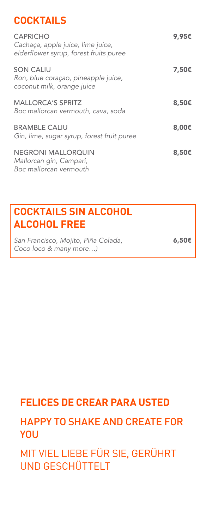## **COCKTAILS**

| <b>CAPRICHO</b><br>Cachaça, apple juice, lime juice,<br>elderflower syrup, forest fruits puree | 9,95€           |
|------------------------------------------------------------------------------------------------|-----------------|
| <b>SON CALIU</b><br>Ron, blue coraçao, pineapple juice,<br>coconut milk, orange juice          | 7,50€           |
| <b>MALLORCA'S SPRITZ</b><br>Boc mallorcan vermouth, cava, soda                                 | 8,50€           |
| <b>BRAMBLE CALIU</b><br>Gin, lime, sugar syrup, forest fruit puree                             | 8,00€           |
| <b>NEGRONI MALLORQUIN</b><br>Mallorcan gin, Campari,<br>Boc mallorcan vermouth                 | 8,50 $\epsilon$ |

## **COCKTAILS SIN ALCOHOL ALCOHOL FREE**

San Francisco, Mojito, Piña Colada, **6,50€** *Coco loco & many more…)*

## **FELICES DE CREAR PARA USTED**

## HAPPY TO SHAKE AND CREATE FOR **YOU**

MIT VIEL LIEBE FÜR SIE, GERÜHRT UND GESCHÜTTELT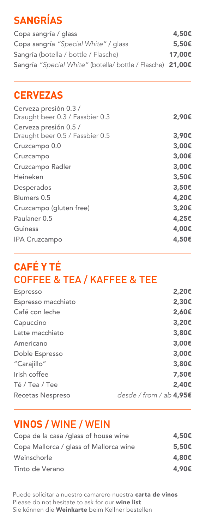# **SANGRÍAS**

Copa sangría / glass 4,50€ Copa sangría "Special White" / glass 5,50€ Sangría (botella / bottle / Flasche) 17,00€ Sangría *"Special White"* (botella/ bottle / Flasche) 21,00€

### **CERVEZAS**

| Cerveza presión 0.3 /<br>Draught beer 0.3 / Fassbier 0.3 | 2,90€ |
|----------------------------------------------------------|-------|
| Cerveza presión 0.5 /<br>Draught beer 0.5 / Fassbier 0.5 | 3,90€ |
| Cruzcampo 0.0                                            | 3,00€ |
| Cruzcampo                                                | 3,00€ |
| Cruzcampo Radler                                         | 3,00€ |
| Heineken                                                 | 3,50€ |
| Desperados                                               | 3,50€ |
| Blumers 0.5                                              | 4,20€ |
| Cruzcampo (gluten free)                                  | 3,20€ |
| Paulaner 0.5                                             | 4,25€ |
| Guiness                                                  | 4,00€ |
| <b>IPA Cruzcampo</b>                                     | 4,50€ |
|                                                          |       |

# **CAFÉ Y TÉ** COFFEE & TEA / KAFFEE & TEE

| Espresso           | 2,20€                     |
|--------------------|---------------------------|
| Espresso macchiato | 2,30€                     |
| Café con leche     | 2,60€                     |
| Capuccino          | 3,20€                     |
| Latte macchiato    | 3,80€                     |
| Americano          | 3,00€                     |
| Doble Espresso     | 3,00€                     |
| "Carajillo"        | 3,80€                     |
| Irish coffee       | 7,50€                     |
| Té / Tea / Tee     | 2,40€                     |
| Recetas Nespreso   | desde / from / ab $4,95E$ |

## **VINOS /** WINE / WEIN

| Copa de la casa /glass of house wine   | 4,50€ |
|----------------------------------------|-------|
| Copa Mallorca / glass of Mallorca wine | 5,50€ |
| Weinschorle                            | 4,80€ |
| Tinto de Verano                        | 4,90€ |

Puede solicitar a nuestro camarero nuestra carta de vinos Please do not hesitate to ask for our wine list Sie können die Weinkarte beim Kellner bestellen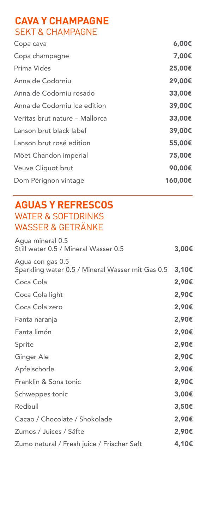### **CAVA Y CHAMPAGNE** SEKT & CHAMPAGNE

| 6,00€   |
|---------|
| 7,00€   |
| 25,00€  |
| 29,00€  |
| 33,00€  |
| 39,00€  |
| 33,00€  |
| 39,00€  |
| 55,00€  |
| 75,00€  |
| 90,00€  |
| 160,00€ |
|         |

### **AGUAS Y REFRESCOS**  WATER & SOFTDRINKS WASSER & GETRÄNKE

| Agua mineral 0.5<br>Still water 0.5 / Mineral Wasser 0.5             | 3,00€ |
|----------------------------------------------------------------------|-------|
| Agua con gas 0.5<br>Sparkling water 0.5 / Mineral Wasser mit Gas 0.5 | 3,10€ |
| Coca Cola                                                            | 2,90€ |
| Coca Cola light                                                      | 2,90€ |
| Coca Cola zero                                                       | 2,90€ |
| Fanta naranja                                                        | 2,90€ |
| Fanta limón                                                          | 2,90€ |
| Sprite                                                               | 2,90€ |
| Ginger Ale                                                           | 2,90€ |
| Apfelschorle                                                         | 2,90€ |
| Franklin & Sons tonic                                                | 2,90€ |
| Schweppes tonic                                                      | 3,00€ |
| Redbull                                                              | 3,50€ |
| Cacao / Chocolate / Shokolade                                        | 2,90€ |
| Zumos / Juices / Säfte                                               | 2,90€ |
| Zumo natural / Fresh juice / Frischer Saft                           | 4,10€ |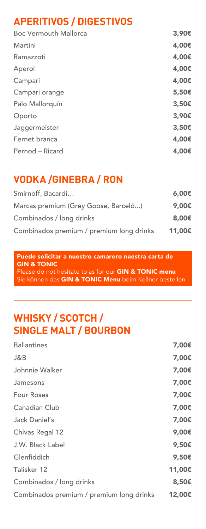## **APERITIVOS / DIGESTIVOS**

| <b>Boc Vermouth Mallorca</b> | 3,90€ |
|------------------------------|-------|
| Martini                      | 4,00€ |
| Ramazzoti                    | 4,00€ |
| Aperol                       | 4,00€ |
| Campari                      | 4,00€ |
| Campari orange               | 5,50€ |
| Palo Mallorquín              | 3,50€ |
| Oporto                       | 3,90€ |
| Jaggermeister                | 3,50€ |
| Fernet branca                | 4,00€ |
| Pernod – Ricard              | 4,00€ |

## **VODKA /GINEBRA / RON**

| Smirnoff, Bacardi                        | 6.00E  |
|------------------------------------------|--------|
| Marcas premium (Grey Goose, Barceló)     | 9,00€  |
| Combinados / long drinks                 | 8,00€  |
| Combinados premium / premium long drinks | 11,00€ |

Puede solicitar a nuestro camarero nuestra carta de GIN & TONIC Please do not hesitate to as for our GIN & TONIC menu Sie können das GIN & TONIC Menu beim Kellner bestellen

## **WHISKY / SCOTCH / SINGLE MALT / BOURBON**

| <b>Ballantines</b>                       | 7,00€  |
|------------------------------------------|--------|
| J&B                                      | 7,00€  |
| Johnnie Walker                           | 7,00€  |
| Jamesons                                 | 7,00€  |
| <b>Four Roses</b>                        | 7,00€  |
| Canadian Club                            | 7,00€  |
| Jack Daniel's                            | 7,00€  |
| Chivas Regal 12                          | 9,00€  |
| J.W. Black Label                         | 9,50€  |
| Glenfiddich                              | 9,50€  |
| Talisker 12                              | 11,00€ |
| Combinados / long drinks                 | 8,50€  |
| Combinados premium / premium long drinks | 12,00€ |
|                                          |        |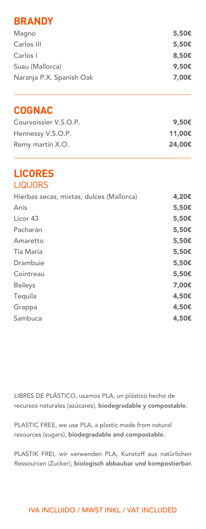### **BRANDY**

| 5,50€             |
|-------------------|
| $5.50\epsilon$    |
| 8.50 <sub>ε</sub> |
| 9,50 $\epsilon$   |
| 7.00€             |
|                   |

### **COGNAC**

| Courvoissier V.S.O.P. | 9,50€  |
|-----------------------|--------|
| Hennessy V.S.O.P.     | 11,00€ |
| Remy martin X.O.      | 24,00€ |

#### **LICORES** LIQUORS

| Hierbas secas, mixtas, dulces (Mallorca) | 4,20€ |
|------------------------------------------|-------|
| Anís                                     | 5,50€ |
| Licor 43                                 | 5,50€ |
| Pacharán                                 | 5,50€ |
| Amaretto                                 | 5,50€ |
| Tía María                                | 5,50€ |
| Drambuie                                 | 5,50€ |
| Cointreau                                | 5,50€ |
| <b>Baileys</b>                           | 7,00€ |
| Tequila                                  | 4,50€ |
| Grappa                                   | 4,50€ |
| Sambuca                                  | 4,50€ |

LIBRES DE PLÁSTICO, usamos PLA, un plástico hecho de recursos naturales (azúcares), biodegradable y compostable.

PLASTIC FREE, we use PLA, a plastic made from natural resources (sugars), biodegradable and compostable.

PLASTIK FREI, wir verwenden PLA, Kunstoff aus natürlichen Ressourcen (Zucker), biologisch abbaubar und kompostierbar.

#### IVA INCLUIDO / MWST INKL / VAT INCLUDED